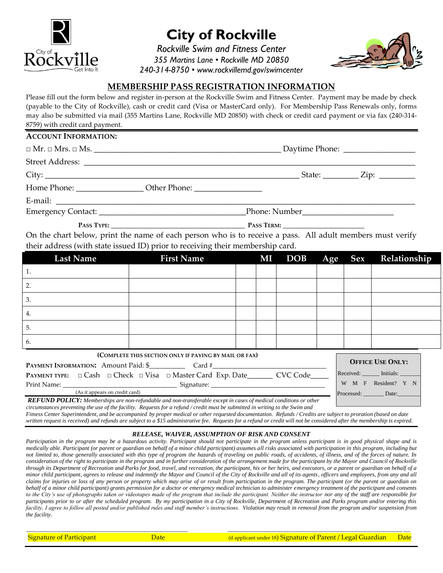

# **City of Rockville**

*Rockville Swim and Fitness Center 355 Martins Lane • Rockville MD 20850 240-314-8750 • www.rockvillemd.gov/swimcenter*



W M F Resident? Y Processed: Date:

### **MEMBERSHIP PASS REGISTRATION INFORMATION**

Please fill out the form below and register in-person at the Rockville Swim and Fitness Center. Payment may be made by check (payable to the City of Rockville), cash or credit card (Visa or MasterCard only). For Membership Pass Renewals only, forms may also be submitted via mail (355 Martins Lane, Rockville MD 20850) with check or credit card payment or via fax (240-314- 8759) with credit card payment.

#### **ACCOUNT INFORMATION:**

|                                                                                   |               |  |  | Daytime Phone: __________________ |  |  |
|-----------------------------------------------------------------------------------|---------------|--|--|-----------------------------------|--|--|
|                                                                                   |               |  |  |                                   |  |  |
|                                                                                   |               |  |  | State: $\angle$ Zip: $\angle$     |  |  |
| Home Phone: ________________________ Other Phone: _______________________________ |               |  |  |                                   |  |  |
|                                                                                   |               |  |  |                                   |  |  |
|                                                                                   | Phone: Number |  |  |                                   |  |  |

**P**ASS TYPE:  $\blacksquare$ 

Print Name: \_\_\_\_\_\_\_\_\_\_\_\_\_\_\_\_\_\_\_\_\_\_\_\_\_\_\_\_\_\_\_\_\_\_\_ Signature: \_\_\_\_\_\_\_\_\_\_\_\_\_\_\_\_\_\_\_\_\_\_\_\_\_\_\_\_\_\_\_\_\_\_\_

On the chart below, print the name of each person who is to receive a pass. All adult members must verify their address (with state issued ID) prior to receiving their membership card.

| <b>Last Name</b>                                                        | <b>First Name</b> | MI | <b>DOB</b> | Age | <b>Sex</b>              | Relationship        |  |
|-------------------------------------------------------------------------|-------------------|----|------------|-----|-------------------------|---------------------|--|
| 1.                                                                      |                   |    |            |     |                         |                     |  |
| 2.                                                                      |                   |    |            |     |                         |                     |  |
| 3.                                                                      |                   |    |            |     |                         |                     |  |
| 4.                                                                      |                   |    |            |     |                         |                     |  |
| 5.                                                                      |                   |    |            |     |                         |                     |  |
| 6.                                                                      |                   |    |            |     |                         |                     |  |
| (COMPLETE THIS SECTION ONLY IF PAYING BY MAIL OR FAX)                   |                   |    |            |     |                         |                     |  |
| <b>PAYMENT INFORMATION:</b> Amount Paid: \$ Card #                      |                   |    |            |     | <b>OFFICE USE ONLY:</b> |                     |  |
| CVC Code<br>PAYMENT TYPE: □ Cash □ Check □ Visa □ Master Card Exp. Date |                   |    |            |     |                         | Received: Initials: |  |

 (As it appears on credit card) *REFUND POLICY: Memberships are non-refundable and non-transferable except in cases of medical conditions or other circumstances preventing the use of the facility. Requests for a refund / credit must be submitted in writing to the Swim and*

*Fitness Center Superintendent, and be accompanied by proper medical or other requested documentation. Refunds / Credits are subject to proration (based on date written request is received) and refunds are subject to a \$15 administrative fee. Requests for a refund or credit will not be considered after the membership is expired.*

#### *RELEASE, WAIVER, ASSUMPTION OF RISK AND CONSENT*

Participation in the program may be a hazardous activity. Participant should not participate in the program unless participant is in good physical shape and is *medically able. Participant (or parent or guardian on behalf of a minor child participant) assumes all risks associated with participation in this program, including but not limited to, those generally associated with this type of program the hazards of traveling on public roads, of accidents, of illness, and of the forces of nature. In consideration of the right to participate in the program and in further consideration of the arrangement made for the participant by the Mayor and Council of Rockville through its Department of Recreation and Parks for food, travel, and recreation, the participant, his or her heirs, and executors, or a parent or guardian on behalf of a minor child participant, agrees to release and indemnify the Mayor and Council of the City of Rockville and all of its agents, officers and employees, from any and all claims for injuries or loss of any person or property which may arise of or result from participation in the program. The participant (or the parent or guardian on behalf of a minor child participant) grants permission for a doctor or emergency medical technician to administer emergency treatment of the participant and consents to the City's use of photographs taken or videotapes made of the program that include the participant. Neither the instructor nor any of the staff are responsible for participants prior to or after the scheduled program. By my participation in a City of Rockville, Department of Recreation and Parks program and/or entering this*  facility, I agree to follow all posted and/or published rules and staff member's instructions. Violation may result in removal from the program and/or suspension from *the facility.*

*\_\_\_\_\_\_\_\_\_\_\_\_\_\_\_\_\_\_\_\_\_\_\_\_\_\_\_\_\_\_\_\_\_\_\_\_\_\_\_\_\_\_\_\_\_\_\_\_\_ \_\_\_\_\_\_\_\_\_\_\_\_\_\_\_\_\_\_\_\_\_\_\_\_\_\_\_\_\_\_\_\_\_\_\_\_\_\_\_\_\_\_\_\_\_\_\_\_\_\_\_\_\_ \_\_*